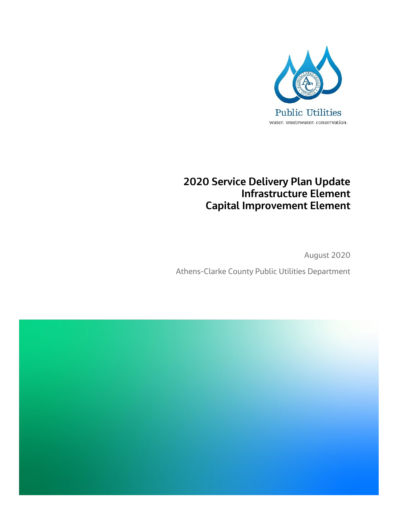

## **2020 Service Delivery Plan Update Infrastructure Element Capital Improvement Element**

August 2020 Athens-Clarke County Public Utilities Department

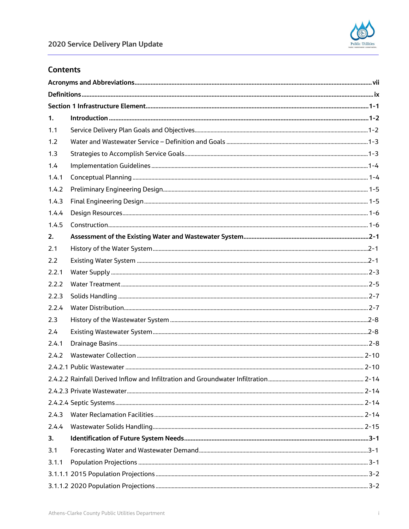

#### **Contents**

| 1.    |  |  |  |
|-------|--|--|--|
| 1.1   |  |  |  |
| 1.2   |  |  |  |
| 1.3   |  |  |  |
| 1.4   |  |  |  |
| 1.4.1 |  |  |  |
| 1.4.2 |  |  |  |
| 1.4.3 |  |  |  |
| 1.4.4 |  |  |  |
| 1.4.5 |  |  |  |
| 2.    |  |  |  |
| 2.1   |  |  |  |
| 2.2   |  |  |  |
| 2.2.1 |  |  |  |
| 2.2.2 |  |  |  |
| 2.2.3 |  |  |  |
| 2.2.4 |  |  |  |
| 2.3   |  |  |  |
| 2.4   |  |  |  |
| 2.4.1 |  |  |  |
| 2.4.2 |  |  |  |
|       |  |  |  |
|       |  |  |  |
|       |  |  |  |
|       |  |  |  |
| 2.4.3 |  |  |  |
| 2.4.4 |  |  |  |
| 3.    |  |  |  |
| 3.1   |  |  |  |
| 3.1.1 |  |  |  |
|       |  |  |  |
|       |  |  |  |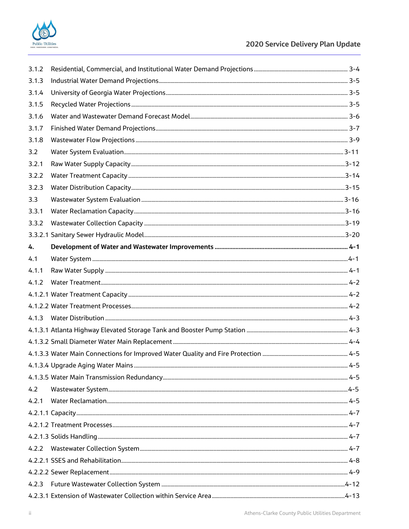

| 3.1.2 |  |
|-------|--|
| 3.1.3 |  |
| 3.1.4 |  |
| 3.1.5 |  |
| 3.1.6 |  |
| 3.1.7 |  |
| 3.1.8 |  |
| 3.2   |  |
| 3.2.1 |  |
| 3.2.2 |  |
| 3.2.3 |  |
| 3.3   |  |
| 3.3.1 |  |
| 3.3.2 |  |
|       |  |
| 4.    |  |
| 4.1   |  |
| 4.1.1 |  |
| 4.1.2 |  |
|       |  |
|       |  |
| 4.1.3 |  |
|       |  |
|       |  |
|       |  |
|       |  |
|       |  |
| 4.2   |  |
| 4.2.1 |  |
|       |  |
|       |  |
|       |  |
|       |  |
|       |  |
|       |  |
|       |  |
|       |  |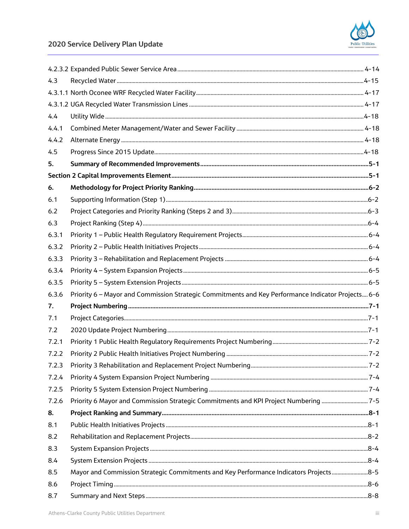

## 2020 Service Delivery Plan Update

| 4.3   |                                                                                                    |  |
|-------|----------------------------------------------------------------------------------------------------|--|
|       |                                                                                                    |  |
|       |                                                                                                    |  |
| 4.4   |                                                                                                    |  |
| 4.4.1 |                                                                                                    |  |
| 4.4.2 |                                                                                                    |  |
| 4.5   |                                                                                                    |  |
| 5.    |                                                                                                    |  |
|       |                                                                                                    |  |
| 6.    |                                                                                                    |  |
| 6.1   |                                                                                                    |  |
| 6.2   |                                                                                                    |  |
| 6.3   |                                                                                                    |  |
| 6.3.1 |                                                                                                    |  |
| 6.3.2 |                                                                                                    |  |
| 6.3.3 |                                                                                                    |  |
| 6.3.4 |                                                                                                    |  |
| 6.3.5 |                                                                                                    |  |
| 6.3.6 | Priority 6 - Mayor and Commission Strategic Commitments and Key Performance Indicator Projects 6-6 |  |
| 7.    |                                                                                                    |  |
| 7.1   |                                                                                                    |  |
| 7.2   |                                                                                                    |  |
| 7.2.1 |                                                                                                    |  |
| 7.2.2 |                                                                                                    |  |
| 7.2.3 |                                                                                                    |  |
| 7.2.4 |                                                                                                    |  |
| 7.2.5 |                                                                                                    |  |
| 7.2.6 | Priority 6 Mayor and Commission Strategic Commitments and KPI Project Numbering 7-5                |  |
| 8.    |                                                                                                    |  |
| 8.1   |                                                                                                    |  |
| 8.2   |                                                                                                    |  |
| 8.3   |                                                                                                    |  |
| 8.4   |                                                                                                    |  |
| 8.5   | Mayor and Commission Strategic Commitments and Key Performance Indicators Projects8-5              |  |
| 8.6   |                                                                                                    |  |
| 8.7   |                                                                                                    |  |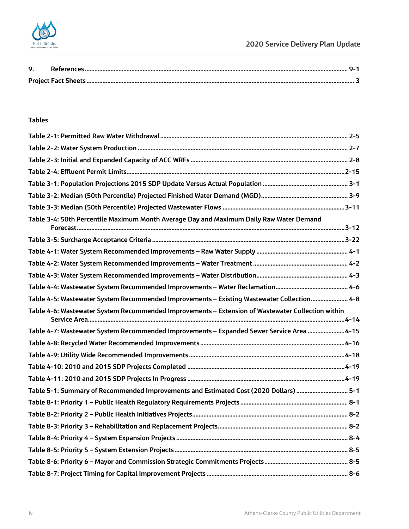

#### **Tables**

| Table 3-4: 50th Percentile Maximum Month Average Day and Maximum Daily Raw Water Demand           |  |
|---------------------------------------------------------------------------------------------------|--|
|                                                                                                   |  |
|                                                                                                   |  |
|                                                                                                   |  |
|                                                                                                   |  |
|                                                                                                   |  |
| Table 4-5: Wastewater System Recommended Improvements - Existing Wastewater Collection 4-8        |  |
|                                                                                                   |  |
| Table 4-6: Wastewater System Recommended Improvements - Extension of Wastewater Collection within |  |
| Table 4-7: Wastewater System Recommended Improvements - Expanded Sewer Service Area 4-15          |  |
|                                                                                                   |  |
|                                                                                                   |  |
|                                                                                                   |  |
|                                                                                                   |  |
| Table 5-1: Summary of Recommended Improvements and Estimated Cost (2020 Dollars)  5-1             |  |
|                                                                                                   |  |
|                                                                                                   |  |
|                                                                                                   |  |
|                                                                                                   |  |
|                                                                                                   |  |
|                                                                                                   |  |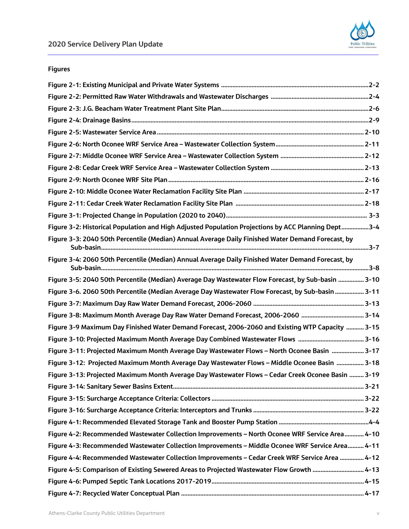## **Figures**

| Figure 3-2: Historical Population and High Adjusted Population Projections by ACC Planning Dept3-4 |  |
|----------------------------------------------------------------------------------------------------|--|
| Figure 3-3: 2040 50th Percentile (Median) Annual Average Daily Finished Water Demand Forecast, by  |  |
| Figure 3-4: 2060 50th Percentile (Median) Annual Average Daily Finished Water Demand Forecast, by  |  |
| Figure 3-5: 2040 50th Percentile (Median) Average Day Wastewater Flow Forecast, by Sub-basin  3-10 |  |
| Figure 3-6. 2060 50th Percentile (Median Average Day Wastewater Flow Forecast, by Sub-basin  3-11  |  |
|                                                                                                    |  |
|                                                                                                    |  |
| Figure 3-9 Maximum Day Finished Water Demand Forecast, 2006-2060 and Existing WTP Capacity  3-15   |  |
|                                                                                                    |  |
| Figure 3-11: Projected Maximum Month Average Day Wastewater Flows - North Oconee Basin  3-17       |  |
| Figure 3-12: Projected Maximum Month Average Day Wastewater Flows - Middle Oconee Basin  3-18      |  |
| Figure 3-13: Projected Maximum Month Average Day Wastewater Flows - Cedar Creek Oconee Basin  3-19 |  |
|                                                                                                    |  |
|                                                                                                    |  |
|                                                                                                    |  |
|                                                                                                    |  |
| Figure 4-2: Recommended Wastewater Collection Improvements - North Oconee WRF Service Area 4-10    |  |
| Figure 4-3: Recommended Wastewater Collection Improvements - Middle Oconee WRF Service Area 4-11   |  |
| Figure 4-4: Recommended Wastewater Collection Improvements - Cedar Creek WRF Service Area  4-12    |  |
| Figure 4-5: Comparison of Existing Sewered Areas to Projected Wastewater Flow Growth  4-13         |  |
|                                                                                                    |  |
|                                                                                                    |  |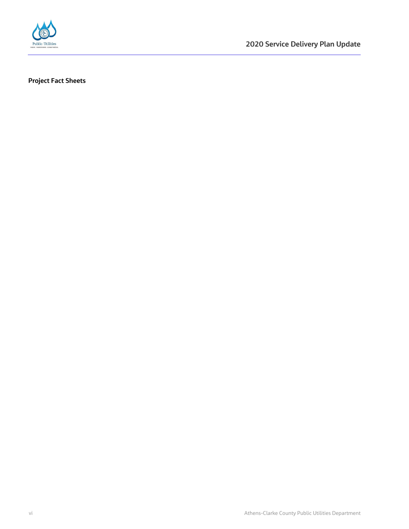

**2020 Service Delivery Plan Update** 

**Project Fact Sheets**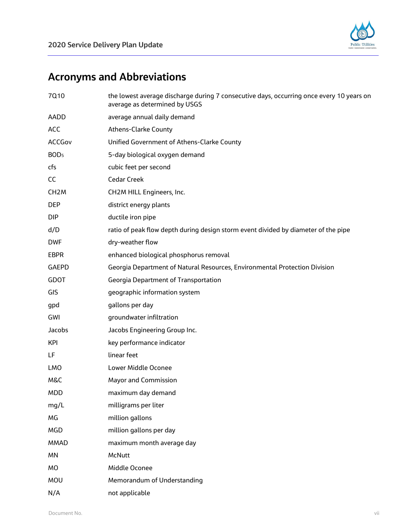

# <span id="page-8-0"></span>**Acronyms and Abbreviations**

| 7Q10              | the lowest average discharge during 7 consecutive days, occurring once every 10 years on<br>average as determined by USGS |
|-------------------|---------------------------------------------------------------------------------------------------------------------------|
| AADD              | average annual daily demand                                                                                               |
| <b>ACC</b>        | <b>Athens-Clarke County</b>                                                                                               |
| ACCGov            | Unified Government of Athens-Clarke County                                                                                |
| BOD <sub>5</sub>  | 5-day biological oxygen demand                                                                                            |
| cfs               | cubic feet per second                                                                                                     |
| CC                | <b>Cedar Creek</b>                                                                                                        |
| CH <sub>2</sub> M | CH2M HILL Engineers, Inc.                                                                                                 |
| <b>DEP</b>        | district energy plants                                                                                                    |
| DIP.              | ductile iron pipe                                                                                                         |
| d/D               | ratio of peak flow depth during design storm event divided by diameter of the pipe                                        |
| <b>DWF</b>        | dry-weather flow                                                                                                          |
| <b>EBPR</b>       | enhanced biological phosphorus removal                                                                                    |
| <b>GAEPD</b>      | Georgia Department of Natural Resources, Environmental Protection Division                                                |
| <b>GDOT</b>       | <b>Georgia Department of Transportation</b>                                                                               |
| GIS               | geographic information system                                                                                             |
| gpd               | gallons per day                                                                                                           |
| GWI               | groundwater infiltration                                                                                                  |
| Jacobs            | Jacobs Engineering Group Inc.                                                                                             |
| <b>KPI</b>        | key performance indicator                                                                                                 |
| LF.               | linear feet                                                                                                               |
| LMO               | Lower Middle Oconee                                                                                                       |
| M&C               | <b>Mayor and Commission</b>                                                                                               |
| MDD               | maximum day demand                                                                                                        |
| mg/L              | milligrams per liter                                                                                                      |
| МG                | million gallons                                                                                                           |
| <b>MGD</b>        | million gallons per day                                                                                                   |
| <b>MMAD</b>       | maximum month average day                                                                                                 |
| MN                | McNutt                                                                                                                    |
| MO                | Middle Oconee                                                                                                             |
| MOU               | Memorandum of Understanding                                                                                               |
| N/A               | not applicable                                                                                                            |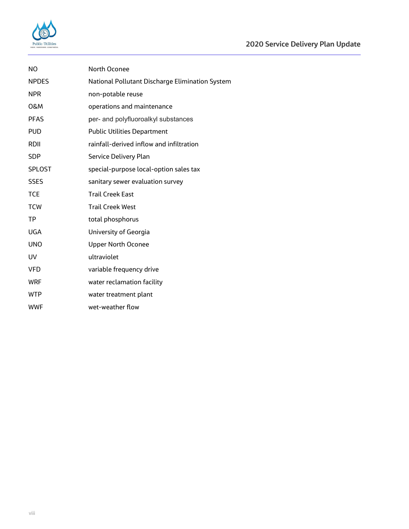

| NO.            | North Oconee                                    |
|----------------|-------------------------------------------------|
| <b>NPDES</b>   | National Pollutant Discharge Elimination System |
| <b>NPR</b>     | non-potable reuse                               |
| <b>O&amp;M</b> | operations and maintenance                      |
| <b>PFAS</b>    | per- and polyfluoroalkyl substances             |
| <b>PUD</b>     | <b>Public Utilities Department</b>              |
| RDII           | rainfall-derived inflow and infiltration        |
| <b>SDP</b>     | Service Delivery Plan                           |
| <b>SPLOST</b>  | special-purpose local-option sales tax          |
| <b>SSES</b>    | sanitary sewer evaluation survey                |
| <b>TCE</b>     | <b>Trail Creek East</b>                         |
| <b>TCW</b>     | <b>Trail Creek West</b>                         |
| TP             | total phosphorus                                |
| <b>UGA</b>     | University of Georgia                           |
| <b>UNO</b>     | <b>Upper North Oconee</b>                       |
| UV             | ultraviolet                                     |
| <b>VFD</b>     | variable frequency drive                        |
| <b>WRF</b>     | water reclamation facility                      |
| <b>WTP</b>     | water treatment plant                           |
| <b>WWF</b>     | wet-weather flow                                |